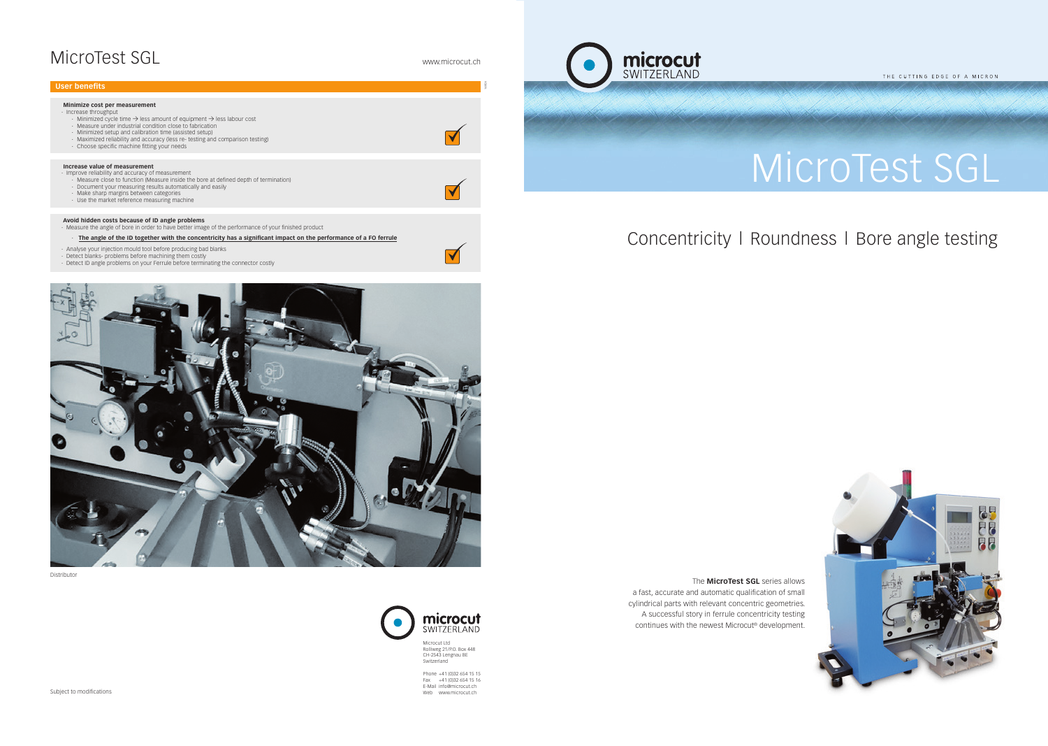# MicroTest SGL



Microcut Ltd Rolliweg 21/P.O. Box 448 CH-2543 Lengnau BE Switzerland

Phone +41 (0)32 654 15 15 Fax +41 (0)32 654 15 16 E-Mail info@microcut.ch Web www.microcut.ch

## MicroTest SGL www.microcut.ch

 The **MicroTest SGL** series allows a fast, accurate and automatic qualification of small cylindrical parts with relevant concentric geometries. A successful story in ferrule concentricity testing continues with the newest Microcut® development.



Subject to modifications

THE CUTTING EDGE OF A MICRON

Distributor



| User benefits                                                                                                                                                                                                                                                                                                                                                                                                          |  |
|------------------------------------------------------------------------------------------------------------------------------------------------------------------------------------------------------------------------------------------------------------------------------------------------------------------------------------------------------------------------------------------------------------------------|--|
| Minimize cost per measurement<br>· Increase throughput<br>$\cdot$ Minimized cycle time $\rightarrow$ less amount of equipment $\rightarrow$ less labour cost<br>· Measure under industrial condition close to fabrication<br>· Minimized setup and calibration time (assisted setup)<br>· Maximized reliability and accuracy (less re- testing and comparison testing)<br>. Choose specific machine fitting your needs |  |
| Increase value of measurement<br>· Improve reliability and accuracy of measurement<br>. Measure close to function (Measure inside the bore at defined depth of termination)<br>· Document your measuring results automatically and easily<br>· Make sharp margins between categories<br>· Use the market reference measuring machine                                                                                   |  |
| Avoid hidden costs because of ID angle problems<br>. Measure the angle of bore in order to have better image of the performance of your finished product                                                                                                                                                                                                                                                               |  |
| The angle of the ID together with the concentricity has a significant impact on the performance of a FO ferrule                                                                                                                                                                                                                                                                                                        |  |
| Analyse your injection mould tool before producing bad blanks<br>· Detect blanks- problems before machining them costly<br>. Detect ID angle problems on your Ferrule before terminating the connector costly                                                                                                                                                                                                          |  |



## Concentricity l Roundness l Bore angle testing